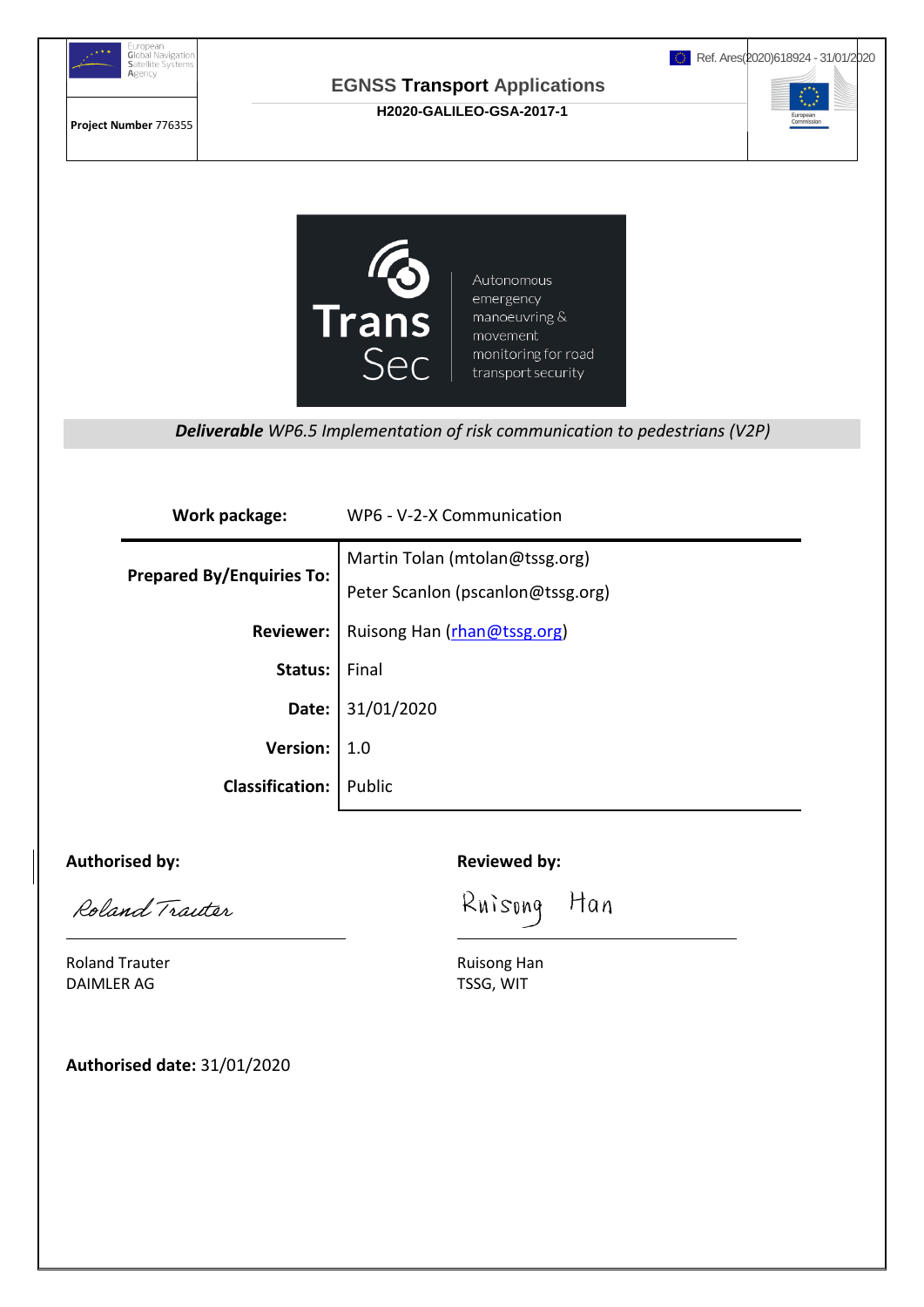

Roland Traiter l

Roland Trauter **Ruisong Han** DAIMLER AG TSSG, WIT

**Authorised date:** 31/01/2020

Han Ruisong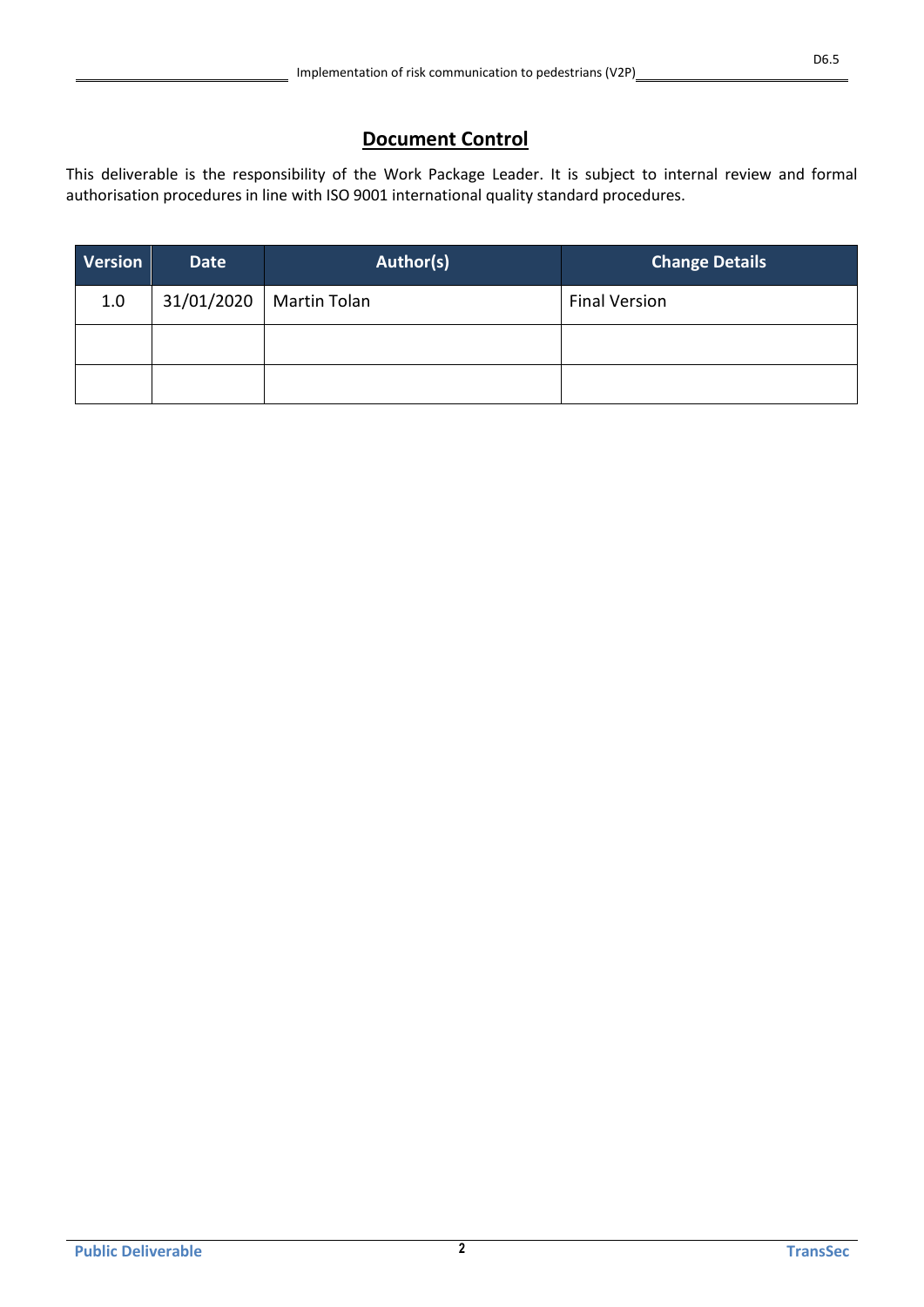## **Document Control**

This deliverable is the responsibility of the Work Package Leader. It is subject to internal review and formal authorisation procedures in line with ISO 9001 international quality standard procedures.

| <b>Version</b> | Date       | Author(s)    | <b>Change Details</b> |
|----------------|------------|--------------|-----------------------|
| 1.0            | 31/01/2020 | Martin Tolan | <b>Final Version</b>  |
|                |            |              |                       |
|                |            |              |                       |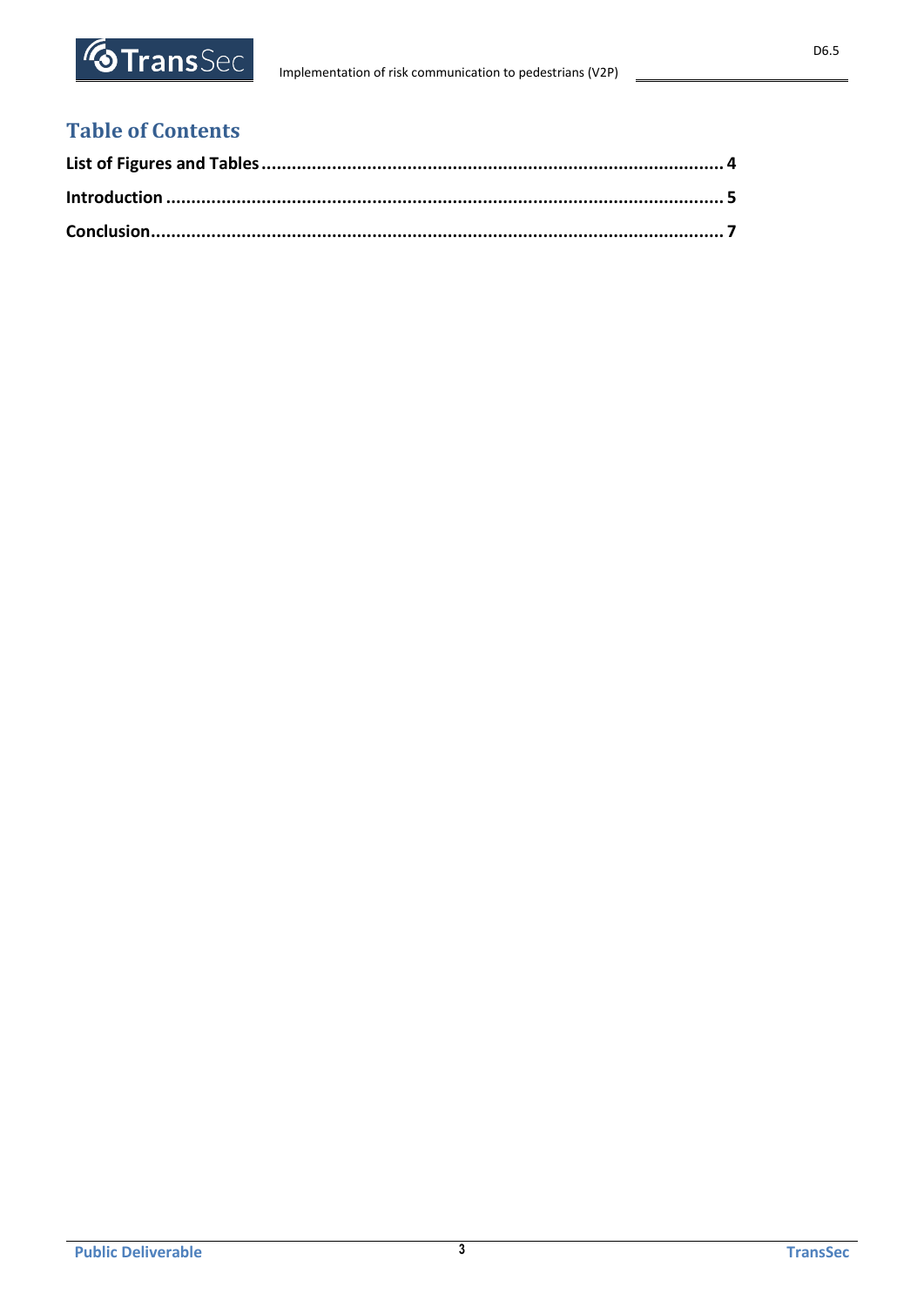

## **Table of Contents**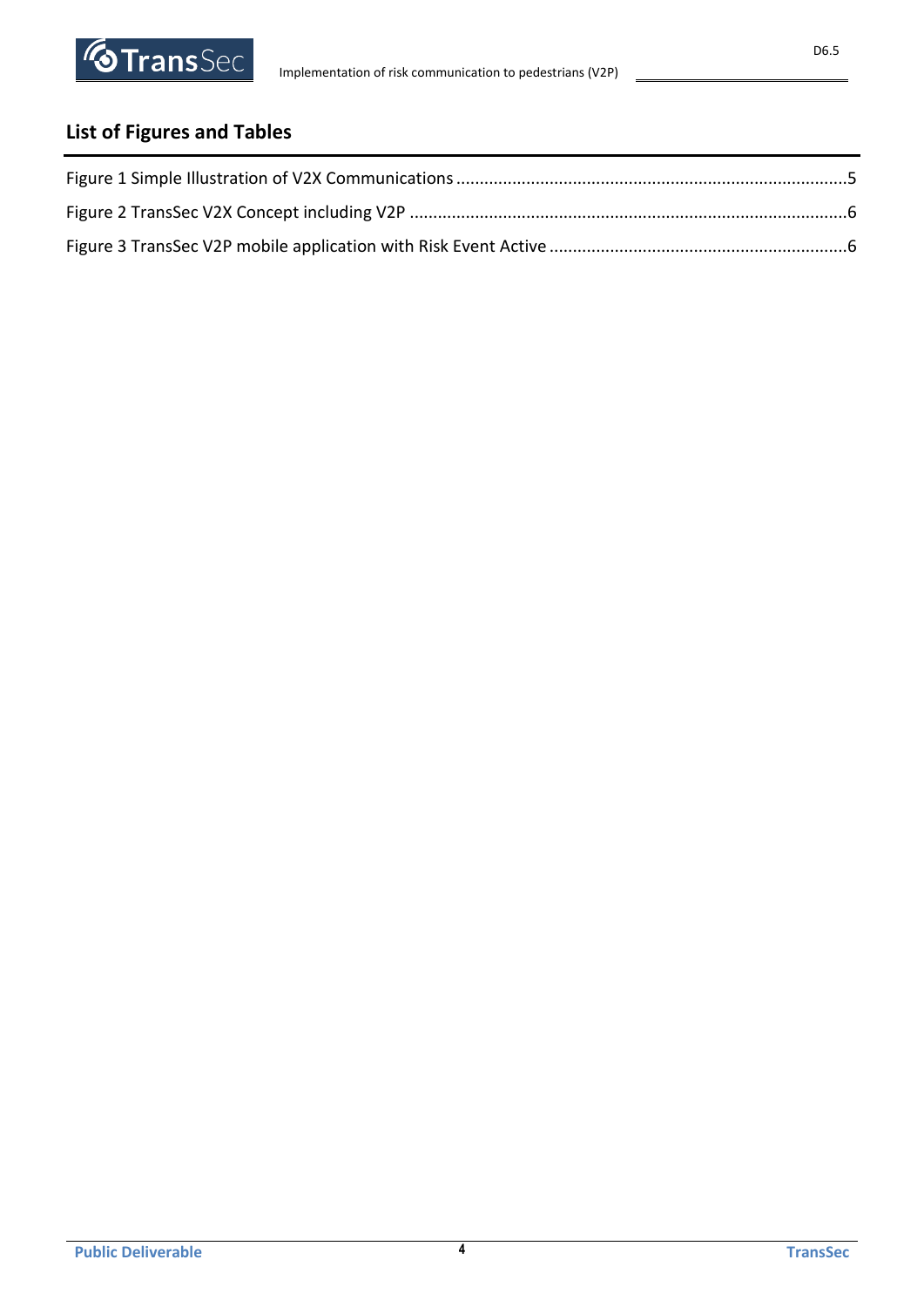# <span id="page-3-0"></span>**List of Figures and Tables**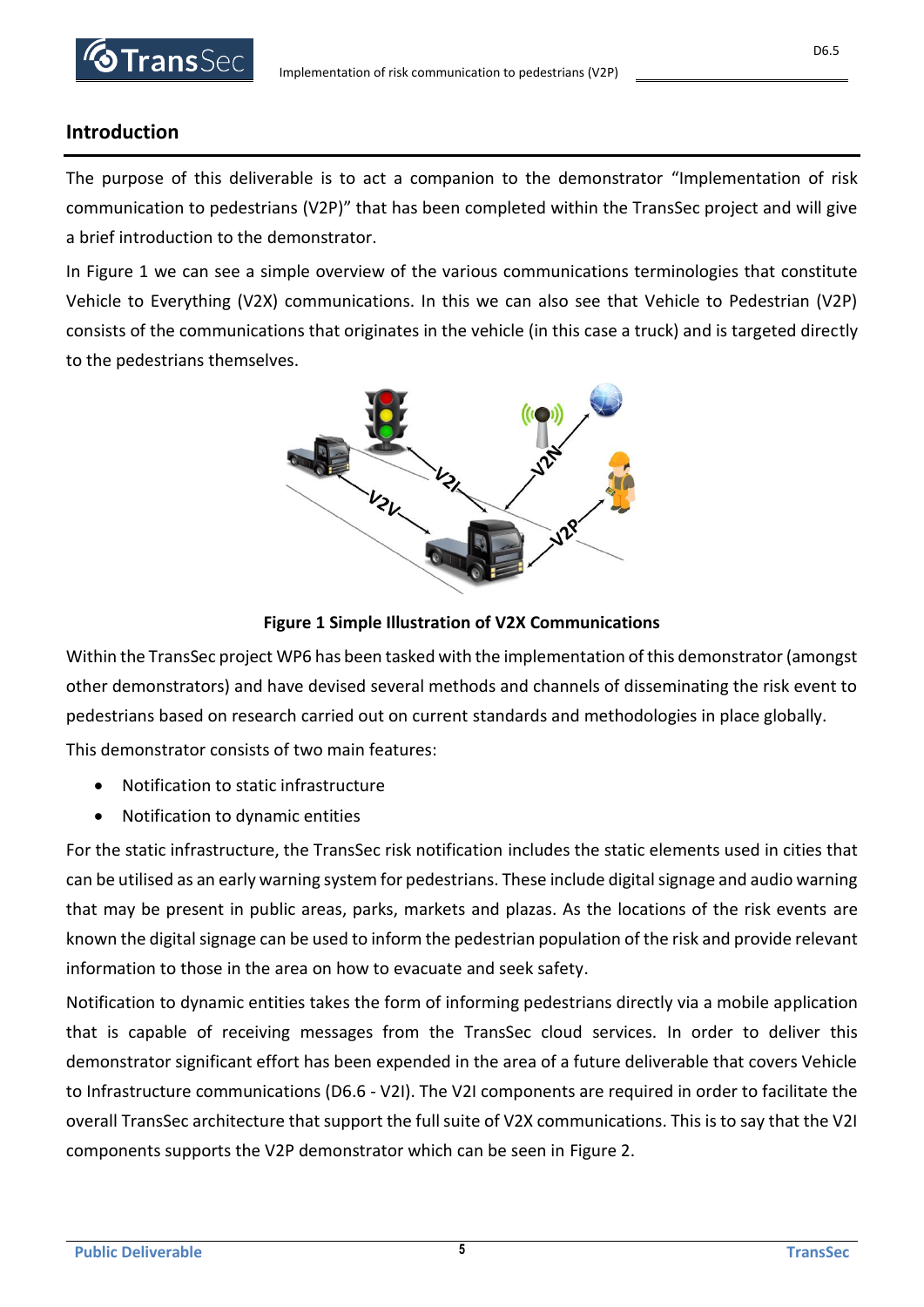## <span id="page-4-0"></span>**Introduction**

The purpose of this deliverable is to act a companion to the demonstrator "Implementation of risk communication to pedestrians (V2P)" that has been completed within the TransSec project and will give a brief introduction to the demonstrator.

In [Figure 1](#page-4-1) we can see a simple overview of the various communications terminologies that constitute Vehicle to Everything (V2X) communications. In this we can also see that Vehicle to Pedestrian (V2P) consists of the communications that originates in the vehicle (in this case a truck) and is targeted directly to the pedestrians themselves.



### **Figure 1 Simple Illustration of V2X Communications**

<span id="page-4-1"></span>Within the TransSec project WP6 has been tasked with the implementation of this demonstrator (amongst other demonstrators) and have devised several methods and channels of disseminating the risk event to pedestrians based on research carried out on current standards and methodologies in place globally.

This demonstrator consists of two main features:

- Notification to static infrastructure
- Notification to dynamic entities

For the static infrastructure, the TransSec risk notification includes the static elements used in cities that can be utilised as an early warning system for pedestrians. These include digital signage and audio warning that may be present in public areas, parks, markets and plazas. As the locations of the risk events are known the digital signage can be used to inform the pedestrian population of the risk and provide relevant information to those in the area on how to evacuate and seek safety.

Notification to dynamic entities takes the form of informing pedestrians directly via a mobile application that is capable of receiving messages from the TransSec cloud services. In order to deliver this demonstrator significant effort has been expended in the area of a future deliverable that covers Vehicle to Infrastructure communications (D6.6 - V2I). The V2I components are required in order to facilitate the overall TransSec architecture that support the full suite of V2X communications. This is to say that the V2I components supports the V2P demonstrator which can be seen in [Figure 2.](#page-5-0)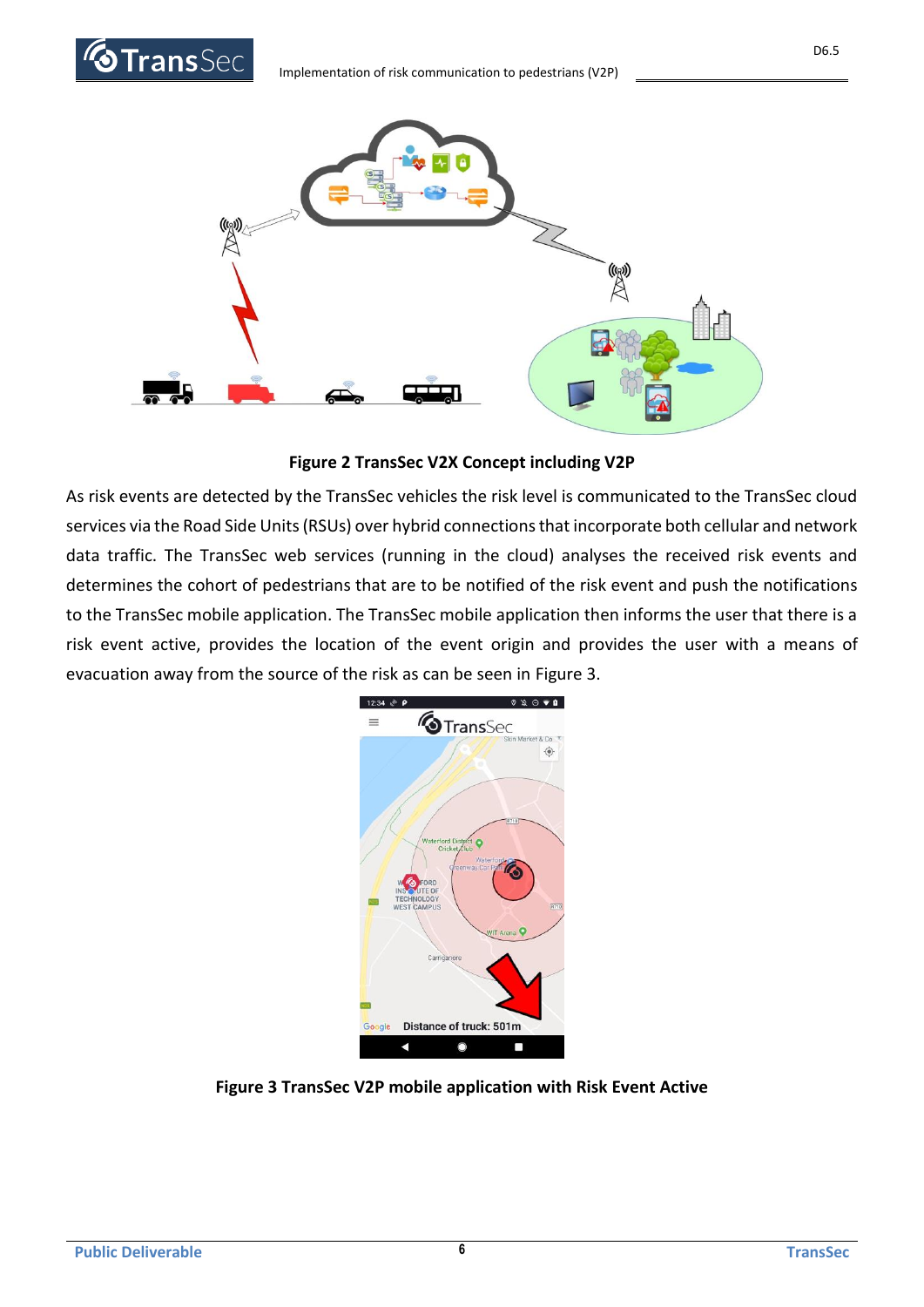

**Figure 2 TransSec V2X Concept including V2P**

<span id="page-5-0"></span>As risk events are detected by the TransSec vehicles the risk level is communicated to the TransSec cloud services via the Road Side Units (RSUs) over hybrid connections that incorporate both cellular and network data traffic. The TransSec web services (running in the cloud) analyses the received risk events and determines the cohort of pedestrians that are to be notified of the risk event and push the notifications to the TransSec mobile application. The TransSec mobile application then informs the user that there is a risk event active, provides the location of the event origin and provides the user with a means of evacuation away from the source of the risk as can be seen in [Figure 3.](#page-5-1)

<span id="page-5-1"></span>

**Figure 3 TransSec V2P mobile application with Risk Event Active**